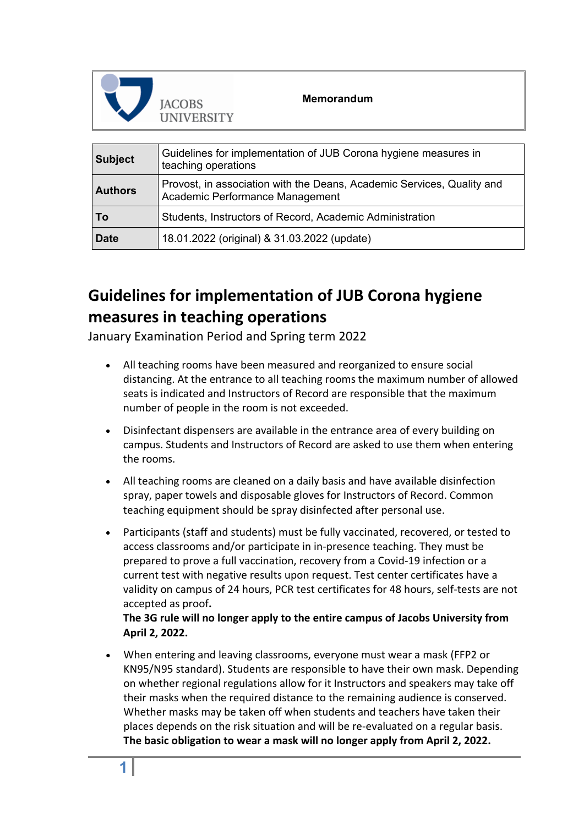

## **Memorandum**

| <b>Subject</b> | Guidelines for implementation of JUB Corona hygiene measures in<br>teaching operations                    |
|----------------|-----------------------------------------------------------------------------------------------------------|
| <b>Authors</b> | Provost, in association with the Deans, Academic Services, Quality and<br>Academic Performance Management |
| $\overline{1}$ | Students, Instructors of Record, Academic Administration                                                  |
| <b>Date</b>    | 18.01.2022 (original) & 31.03.2022 (update)                                                               |

## **Guidelines for implementation of JUB Corona hygiene measures in teaching operations**

January Examination Period and Spring term 2022

- All teaching rooms have been measured and reorganized to ensure social distancing. At the entrance to all teaching rooms the maximum number of allowed seats is indicated and Instructors of Record are responsible that the maximum number of people in the room is not exceeded.
- Disinfectant dispensers are available in the entrance area of every building on campus. Students and Instructors of Record are asked to use them when entering the rooms.
- All teaching rooms are cleaned on a daily basis and have available disinfection spray, paper towels and disposable gloves for Instructors of Record. Common teaching equipment should be spray disinfected after personal use.
- Participants (staff and students) must be fully vaccinated, recovered, or tested to access classrooms and/or participate in in-presence teaching. They must be prepared to prove a full vaccination, recovery from a Covid-19 infection or a current test with negative results upon request. Test center certificates have a validity on campus of 24 hours, PCR test certificates for 48 hours, self-tests are not accepted as proof**.**

**The 3G rule will no longer apply to the entire campus of Jacobs University from April 2, 2022.**

• When entering and leaving classrooms, everyone must wear a mask (FFP2 or KN95/N95 standard). Students are responsible to have their own mask. Depending on whether regional regulations allow for it Instructors and speakers may take off their masks when the required distance to the remaining audience is conserved. Whether masks may be taken off when students and teachers have taken their places depends on the risk situation and will be re-evaluated on a regular basis. **The basic obligation to wear a mask will no longer apply from April 2, 2022.**